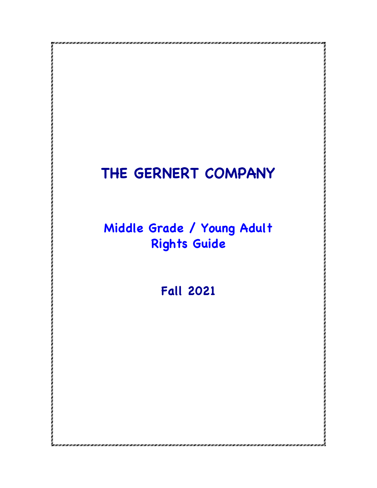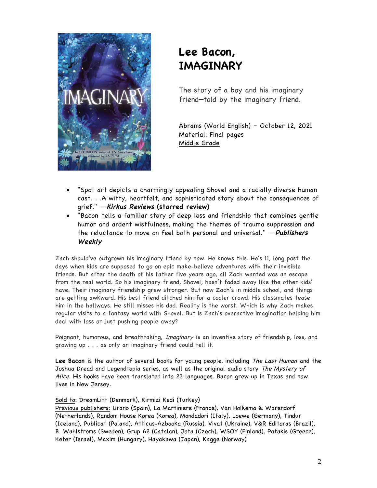

# **Lee Bacon, IMAGINARY**

The story of a boy and his imaginary friend—told by the imaginary friend.

Abrams (World English) – October 12, 2021 Material: Final pages Middle Grade

- "Spot art depicts a charmingly appealing Shovel and a racially diverse human cast. . .A witty, heartfelt, and sophisticated story about the consequences of grief." ―**Kirkus Reviews (starred review)**
- "Bacon tells a familiar story of deep loss and friendship that combines gentle humor and ardent wistfulness, making the themes of trauma suppression and the reluctance to move on feel both personal and universal." ―**Publishers Weekly**

Zach should've outgrown his imaginary friend by now. He knows this. He's 11, long past the days when kids are supposed to go on epic make-believe adventures with their invisible friends. But after the death of his father five years ago, all Zach wanted was an escape from the real world. So his imaginary friend, Shovel, hasn't faded away like the other kids' have. Their imaginary friendship grew stronger. But now Zach's in middle school, and things are getting awkward. His best friend ditched him for a cooler crowd. His classmates tease him in the hallways. He still misses his dad. Reality is the worst. Which is why Zach makes regular visits to a fantasy world with Shovel. But is Zach's overactive imagination helping him deal with loss or just pushing people away?

Poignant, humorous, and breathtaking, Imaginary is an inventive story of friendship, loss, and growing up . . . as only an imaginary friend could tell it.

**Lee Bacon** is the author of several books for young people, including The Last Human and the Joshua Dread and Legendtopia series, as well as the original audio story The Mystery of Alice. His books have been translated into 23 languages. Bacon grew up in Texas and now lives in New Jersey.

## Sold to: DreamLitt (Denmark), Kirmizi Kedi (Turkey)

Previous publishers: Urano (Spain), La Martiniere (France), Van Holkema & Warendorf (Netherlands), Random House Korea (Korea), Mondadori (Italy), Loewe (Germany), Tindur (Iceland), Publicat (Poland), Atticus-Azbooka (Russia), Vivat (Ukraine), V&R Editoras (Brazil), B. Wahlstroms (Sweden), Grup 62 (Catalan), Jota (Czech), WSOY (Finland), Patakis (Greece), Keter (Israel), Maxim (Hungary), Hayakawa (Japan), Kagge (Norway)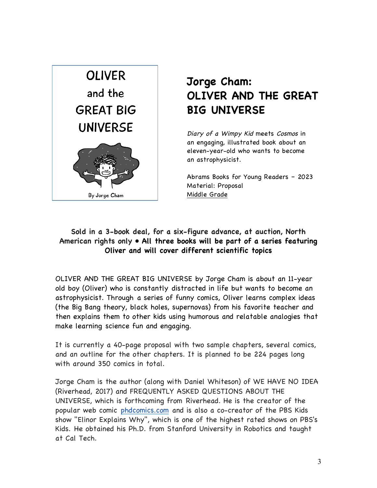

# **Jorge Cham: OLIVER AND THE GREAT BIG UNIVERSE**

 Diary of a Wimpy Kid meets Cosmos in an engaging, illustrated book about an eleven-year-old who wants to become an astrophysicist.

 Abrams Books for Young Readers – 2023 Material: Proposal Middle Grade

# **Sold in a 3-book deal, for a six-figure advance, at auction, North American rights only • All three books will be part of a series featuring Oliver and will cover different scientific topics**

OLIVER AND THE GREAT BIG UNIVERSE by Jorge Cham is about an 11-year old boy (Oliver) who is constantly distracted in life but wants to become an astrophysicist. Through a series of funny comics, Oliver learns complex ideas (the Big Bang theory, black holes, supernovas) from his favorite teacher and then explains them to other kids using humorous and relatable analogies that make learning science fun and engaging.

It is currently a 40-page proposal with two sample chapters, several comics, and an outline for the other chapters. It is planned to be 224 pages long with around 350 comics in total.

Jorge Cham is the author (along with Daniel Whiteson) of WE HAVE NO IDEA (Riverhead, 2017) and FREQUENTLY ASKED QUESTIONS ABOUT THE UNIVERSE, which is forthcoming from Riverhead. He is the creator of the popular web comic phdcomics.com and is also a co-creator of the PBS Kids show "Elinor Explains Why", which is one of the highest rated shows on PBS's Kids. He obtained his Ph.D. from Stanford University in Robotics and taught at Cal Tech.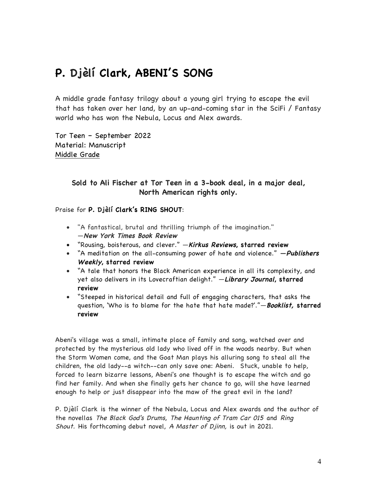# **P. Djèlí Clark, ABENI'S SONG**

A middle grade fantasy trilogy about a young girl trying to escape the evil that has taken over her land, by an up-and-coming star in the SciFi / Fantasy world who has won the Nebula, Locus and Alex awards.

Tor Teen – September 2022 Material: Manuscript Middle Grade

# **Sold to Ali Fischer at Tor Teen in a 3-book deal, in a major deal, North American rights only.**

Praise for **P. Djèlí Clark's RING SHOUT**:

- "A fantastical, brutal and thrilling triumph of the imagination." ―**New York Times Book Review**
- "Rousing, boisterous, and clever." ―**Kirkus Reviews, starred review**
- "A meditation on the all-consuming power of hate and violence." **―Publishers Weekly, starred review**
- "A tale that honors the Black American experience in all its complexity, and yet also delivers in its Lovecraftian delight." ―**Library Journal, starred review**
- "Steeped in historical detail and full of engaging characters, that asks the question, 'Who is to blame for the hate that hate made?'."―**Booklist, starred review**

Abeni's village was a small, intimate place of family and song, watched over and protected by the mysterious old lady who lived off in the woods nearby. But when the Storm Women come, and the Goat Man plays his alluring song to steal all the children, the old lady--a witch--can only save one: Abeni. Stuck, unable to help, forced to learn bizarre lessons, Abeni's one thought is to escape the witch and go find her family. And when she finally gets her chance to go, will she have learned enough to help or just disappear into the maw of the great evil in the land?

P. Djèlí Clark is the winner of the Nebula, Locus and Alex awards and the author of the novellas The Black God's Drums, The Haunting of Tram Car 015 and Ring Shout. His forthcoming debut novel, A Master of Djinn, is out in 2021.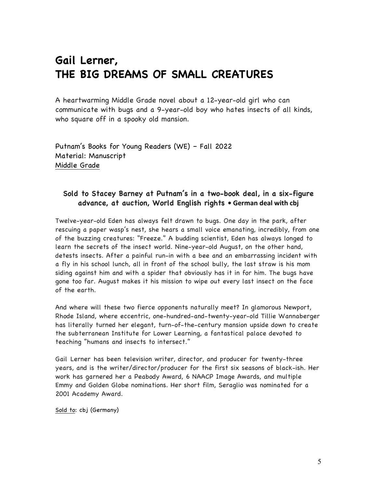# **Gail Lerner, THE BIG DREAMS OF SMALL CREATURES**

A heartwarming Middle Grade novel about a 12-year-old girl who can communicate with bugs and a 9-year-old boy who hates insects of all kinds, who square off in a spooky old mansion.

Putnam's Books for Young Readers (WE) – Fall 2022 Material: Manuscript Middle Grade

# **Sold to Stacey Barney at Putnam's in a two-book deal, in a six-figure advance, at auction, World English rights • German deal with cbj**

Twelve-year-old Eden has always felt drawn to bugs. One day in the park, after rescuing a paper wasp's nest, she hears a small voice emanating, incredibly, from one of the buzzing creatures: "Freeze." A budding scientist, Eden has always longed to learn the secrets of the insect world. Nine-year-old August, on the other hand, detests insects. After a painful run-in with a bee and an embarrassing incident with a fly in his school lunch, all in front of the school bully, the last straw is his mom siding against him and with a spider that obviously has it in for him. The bugs have gone too far. August makes it his mission to wipe out every last insect on the face of the earth.

And where will these two fierce opponents naturally meet? In glamorous Newport, Rhode Island, where eccentric, one-hundred-and-twenty-year-old Tillie Wannaberger has literally turned her elegant, turn-of-the-century mansion upside down to create the subterranean Institute for Lower Learning, a fantastical palace devoted to teaching "humans and insects to intersect."

Gail Lerner has been television writer, director, and producer for twenty-three years, and is the writer/director/producer for the first six seasons of black-ish. Her work has garnered her a Peabody Award, 6 NAACP Image Awards, and multiple Emmy and Golden Globe nominations. Her short film, Seraglio was nominated for a 2001 Academy Award.

Sold to: cbj (Germany)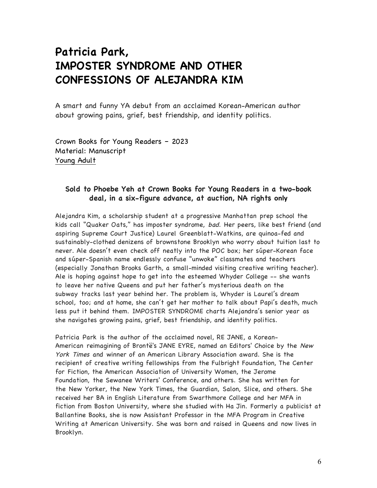# **Patricia Park, IMPOSTER SYNDROME AND OTHER CONFESSIONS OF ALEJANDRA KIM**

A smart and funny YA debut from an acclaimed Korean-American author about growing pains, grief, best friendship, and identity politics.

Crown Books for Young Readers – 2023 Material: Manuscript Young Adult

# **Sold to Phoebe Yeh at Crown Books for Young Readers in a two-book deal, in a six-figure advance, at auction, NA rights only**

Alejandra Kim, a scholarship student at a progressive Manhattan prep school the kids call "Quaker Oats," has imposter syndrome, bad. Her peers, like best friend (and aspiring Supreme Court Justice) Laurel Greenblatt-Watkins, are quinoa-fed and sustainably-clothed denizens of brownstone Brooklyn who worry about tuition last to never. Ale doesn't even check off neatly into the POC box; her súper-Korean face and súper-Spanish name endlessly confuse "unwoke" classmates and teachers (especially Jonathan Brooks Garth, a small-minded visiting creative writing teacher). Ale is hoping against hope to get into the esteemed Whyder College -- she wants to leave her native Queens and put her father's mysterious death on the subway tracks last year behind her. The problem is, Whyder is Laurel's dream school, too; and at home, she can't get her mother to talk about Papi's death, much less put it behind them. IMPOSTER SYNDROME charts Alejandra's senior year as she navigates growing pains, grief, best friendship, and identity politics.

Patricia Park is the author of the acclaimed novel, RE JANE, a Korean-American reimagining of Brontë's JANE EYRE, named an Editors' Choice by the New York Times and winner of an American Library Association award. She is the recipient of creative writing fellowships from the Fulbright Foundation, The Center for Fiction, the American Association of University Women, the Jerome Foundation, the Sewanee Writers' Conference, and others. She has written for the New Yorker, the New York Times, the Guardian, Salon, Slice, and others. She received her BA in English Literature from Swarthmore College and her MFA in fiction from Boston University, where she studied with Ha Jin. Formerly a publicist at Ballantine Books, she is now Assistant Professor in the MFA Program in Creative Writing at American University. She was born and raised in Queens and now lives in Brooklyn.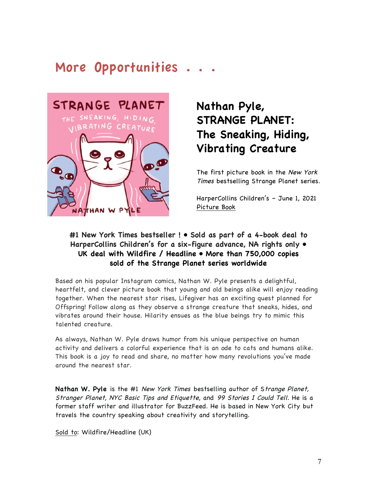# More Opportunities . . .



# **Nathan Pyle, STRANGE PLANET: The Sneaking, Hiding, Vibrating Creature**

 The first picture book in the New York Times bestselling Strange Planet series.

 HarperCollins Children's – June 1, 2021 Picture Book

# **#1 New York Times bestseller ! • Sold as part of a 4-book deal to HarperCollins Children's for a six-figure advance, NA rights only • UK deal with Wildfire / Headline • More than 750,000 copies sold of the Strange Planet series worldwide**

Based on his popular Instagram comics, Nathan W. Pyle presents a delightful, heartfelt, and clever picture book that young and old beings alike will enjoy reading together. When the nearest star rises, Lifegiver has an exciting quest planned for Offspring! Follow along as they observe a strange creature that sneaks, hides, and vibrates around their house. Hilarity ensues as the blue beings try to mimic this talented creature.

As always, Nathan W. Pyle draws humor from his unique perspective on human activity and delivers a colorful experience that is an ode to cats and humans alike. This book is a joy to read and share, no matter how many revolutions you've made around the nearest star.

**Nathan W. Pyle** is the #1 New York Times bestselling author of Strange Planet, Stranger Planet, NYC Basic Tips and Etiquette, and 99 Stories I Could Tell. He is a former staff writer and illustrator for BuzzFeed. He is based in New York City but travels the country speaking about creativity and storytelling.

Sold to: Wildfire/Headline (UK)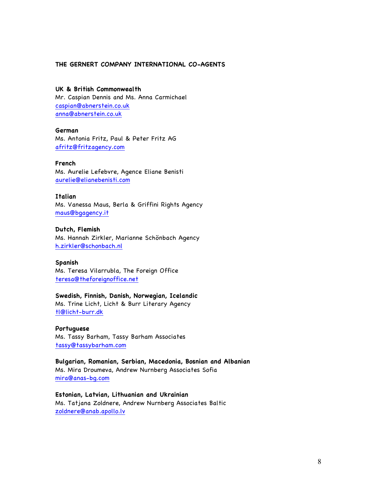## **THE GERNERT COMPANY INTERNATIONAL CO-AGENTS**

## **UK & British Commonwealth**

Mr. Caspian Dennis and Ms. Anna Carmichael caspian@abnerstein.co.uk anna@abnerstein.co.uk

#### **German**

Ms. Antonia Fritz, Paul & Peter Fritz AG afritz@fritzagency.com

#### **French**

Ms. Aurelie Lefebvre, Agence Eliane Benisti aurelie@elianebenisti.com

#### **Italian**

Ms. Vanessa Maus, Berla & Griffini Rights Agency maus@bgagency.it

#### **Dutch, Flemish**

Ms. Hannah Zirkler, Marianne Schönbach Agency h.zirkler@schonbach.nl

#### **Spanish**

Ms. Teresa Vilarrubla, The Foreign Office teresa@theforeignoffice.net

### **Swedish, Finnish, Danish, Norwegian, Icelandic**

Ms. Trine Licht, Licht & Burr Literary Agency tl@licht-burr.dk

### **Portuguese**

Ms. Tassy Barham, Tassy Barham Associates tassy@tassybarham.com

**Bulgarian, Romanian, Serbian, Macedonia, Bosnian and Albanian**  Ms. Mira Droumeva, Andrew Nurnberg Associates Sofia mira@anas-bg.com

**Estonian, Latvian, Lithuanian and Ukrainian** Ms. Tatjana Zoldnere, Andrew Nurnberg Associates Baltic zoldnere@anab.apollo.lv